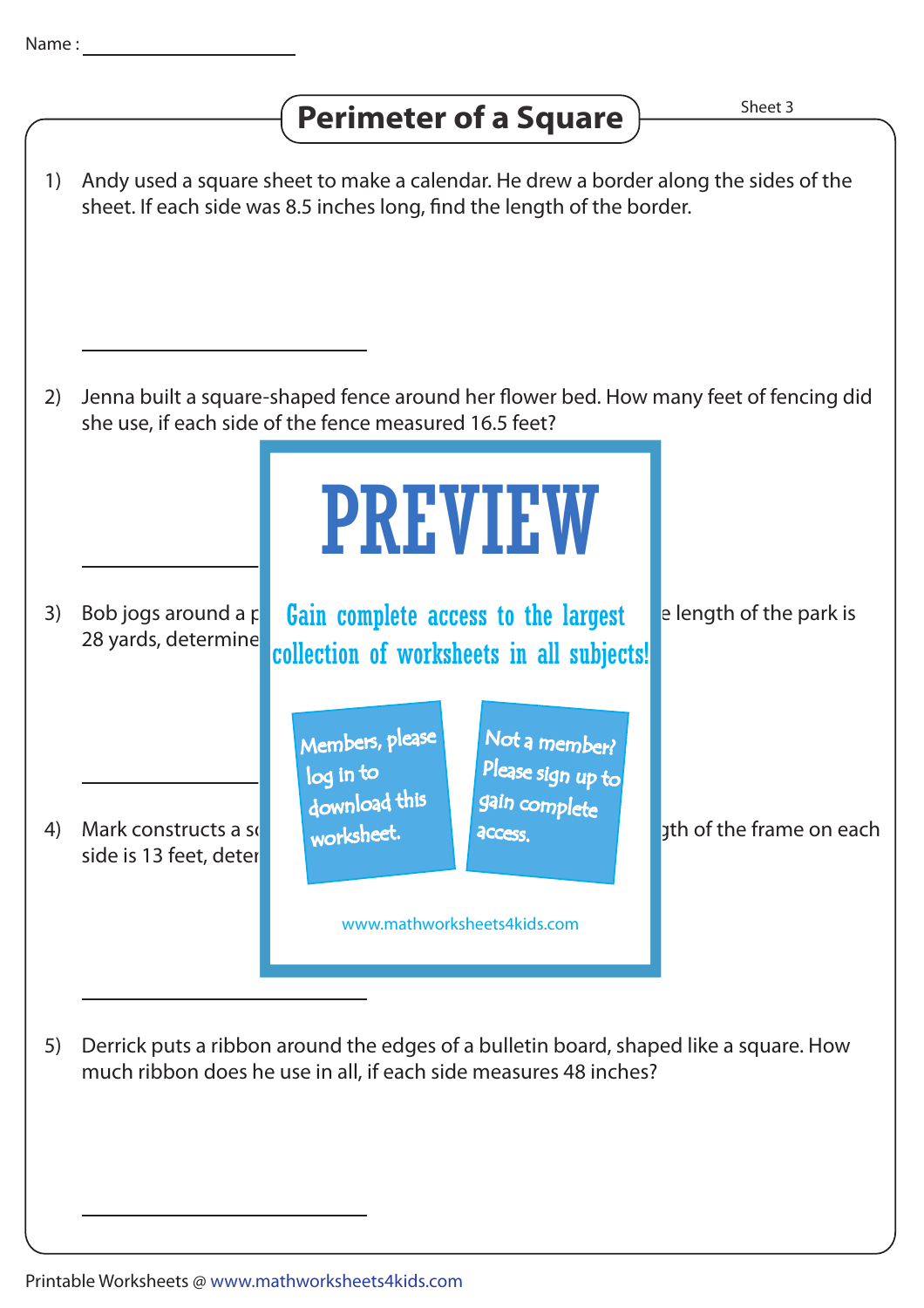## **Perimeter of a Square**  $\overline{\phantom{a}}$  **Perimeter of a Square**

1) Andy used a square sheet to make a calendar. He drew a border along the sides of the sheet. If each side was 8.5 inches long, find the length of the border. 2) Jenna built a square-shaped fence around her flower bed. How many feet of fencing did she use, if each side of the fence measured 16.5 feet? 3) Bob jogs around a particular complete access to the largest and learn of the park is 28 yards, determine 4) Mark constructs a square-shaped frame for his gazes frame frame frame on each side is 13 feet, deter 5) Derrick puts a ribbon around the edges of a bulletin board, shaped like a square. How much ribbon does he use in all, if each side measures 48 inches? PREVIEW www.mathworksheets4kids.com Members, please download this worksheet. log in to Not a member? gain complete Please sign up to **access** collection of worksheets in all subjects!